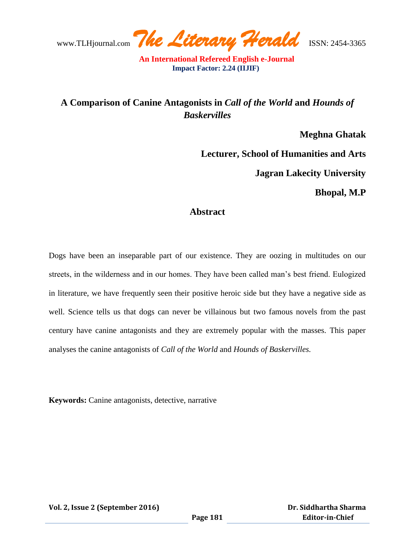www.TLHjournal.com *The Literary Herald*ISSN: 2454-3365

## **A Comparison of Canine Antagonists in** *Call of the World* **and** *Hounds of Baskervilles*

**Meghna Ghatak**

**Lecturer, School of Humanities and Arts**

**Jagran Lakecity University**

**Bhopal, M.P**

## **Abstract**

Dogs have been an inseparable part of our existence. They are oozing in multitudes on our streets, in the wilderness and in our homes. They have been called man"s best friend. Eulogized in literature, we have frequently seen their positive heroic side but they have a negative side as well. Science tells us that dogs can never be villainous but two famous novels from the past century have canine antagonists and they are extremely popular with the masses. This paper analyses the canine antagonists of *Call of the World* and *Hounds of Baskervilles.* 

**Keywords:** Canine antagonists, detective, narrative

**Vol. 2, Issue 2 (September 2016)**

 **Dr. Siddhartha Sharma Editor-in-Chief**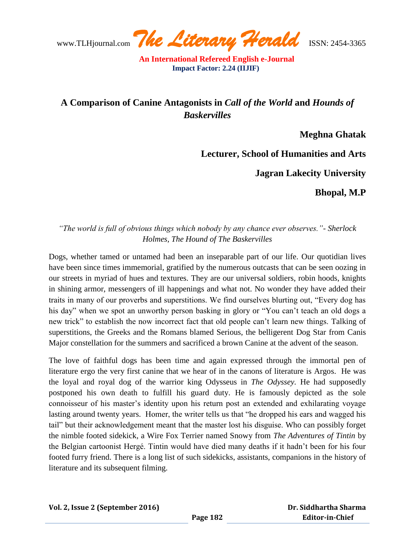www.TLHjournal.com *The Literary Herald*ISSN: 2454-3365

## **A Comparison of Canine Antagonists in** *Call of the World* **and** *Hounds of Baskervilles*

**Meghna Ghatak**

**Lecturer, School of Humanities and Arts**

**Jagran Lakecity University** 

**Bhopal, M.P**

*"The world is full of obvious things which nobody by any chance ever observes."- Sherlock Holmes, The Hound of The Baskervilles*

Dogs, whether tamed or untamed had been an inseparable part of our life. Our quotidian lives have been since times immemorial, gratified by the numerous outcasts that can be seen oozing in our streets in myriad of hues and textures. They are our universal soldiers, robin hoods, knights in shining armor, messengers of ill happenings and what not. No wonder they have added their traits in many of our proverbs and superstitions. We find ourselves blurting out, "Every dog has his day" when we spot an unworthy person basking in glory or "You can"t teach an old dogs a new trick" to establish the now incorrect fact that old people can"t learn new things. Talking of superstitions, the Greeks and the Romans blamed Serious, the belligerent Dog Star from Canis Major constellation for the summers and sacrificed a brown Canine at the advent of the season.

The love of faithful dogs has been time and again expressed through the immortal pen of literature ergo the very first canine that we hear of in the canons of literature is Argos. He was the loyal and royal dog of the warrior king Odysseus in *The Odyssey.* He had supposedly postponed his own death to fulfill his guard duty. He is famously depicted as the sole connoisseur of his master"s identity upon his return post an extended and exhilarating voyage lasting around twenty years. Homer, the writer tells us that "he dropped his ears and wagged his tail" but their acknowledgement meant that the master lost his disguise. Who can possibly forget the nimble footed sidekick, a Wire Fox Terrier named Snowy from *The Adventures of Tintin* by the Belgian cartoonist Hergé. Tintin would have died many deaths if it hadn"t been for his four footed furry friend. There is a long list of such sidekicks, assistants, companions in the history of literature and its subsequent filming.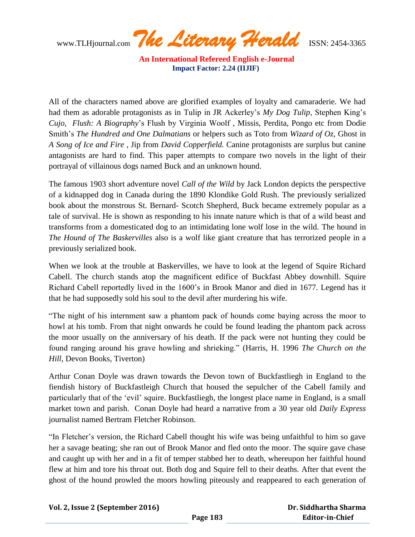www.TLHjournal.com *The Literary Herald*ISSN: 2454-3365

All of the characters named above are glorified examples of loyalty and camaraderie. We had had them as adorable protagonists as in Tulip in JR Ackerley"s *My Dog Tulip*, Stephen King"s *Cujo, Flush: A Biography*"s Flush by Virginia Woolf , Missis, Perdita, Pongo etc from Dodie Smith"s *The Hundred and One Dalmatians* or helpers such as Toto from *Wizard of Oz,* Ghost in *A Song of Ice and Fire* , Jip from *David Copperfield.* Canine protagonists are surplus but canine antagonists are hard to find. This paper attempts to compare two novels in the light of their portrayal of villainous dogs named Buck and an unknown hound.

The famous 1903 short adventure novel *Call of the Wild* by Jack London depicts the perspective of a kidnapped dog in Canada during the 1890 Klondike Gold Rush. The previously serialized book about the monstrous St. Bernard- Scotch Shepherd, Buck became extremely popular as a tale of survival. He is shown as responding to his innate nature which is that of a wild beast and transforms from a domesticated dog to an intimidating lone wolf lose in the wild. The hound in *The Hound of The Baskervilles* also is a wolf like giant creature that has terrorized people in a previously serialized book.

When we look at the trouble at Baskervilles, we have to look at the legend of Squire Richard Cabell. The church stands atop the magnificent edifice of Buckfast Abbey downhill. Squire Richard Cabell reportedly lived in the 1600"s in Brook Manor and died in 1677. Legend has it that he had supposedly sold his soul to the devil after murdering his wife.

"The night of his internment saw a phantom pack of hounds come baying across the moor to howl at his tomb. From that night onwards he could be found leading the phantom pack across the moor usually on the anniversary of his death. If the pack were not hunting they could be found ranging around his grave howling and shrieking." (Harris, H. 1996 *The Church on the Hill*, Devon Books, Tiverton)

Arthur Conan Doyle was drawn towards the Devon town of Buckfastliegh in England to the fiendish history of Buckfastleigh Church that housed the sepulcher of the Cabell family and particularly that of the "evil" squire. Buckfastliegh, the longest place name in England, is a small market town and parish. Conan Doyle had heard a narrative from a 30 year old *Daily Express* journalist named Bertram Fletcher Robinson.

"In Fletcher"s version, the Richard Cabell thought his wife was being unfaithful to him so gave her a savage beating; she ran out of Brook Manor and fled onto the moor. The squire gave chase and caught up with her and in a fit of temper stabbed her to death, whereupon her faithful hound flew at him and tore his throat out. Both dog and Squire fell to their deaths. After that event the ghost of the hound prowled the moors howling piteously and reappeared to each generation of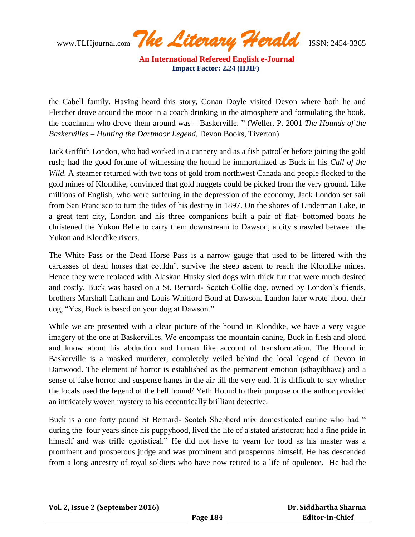www.TLHjournal.com *The Literary Herald*ISSN: 2454-3365

the Cabell family. Having heard this story, Conan Doyle visited Devon where both he and Fletcher drove around the moor in a coach drinking in the atmosphere and formulating the book, the coachman who drove them around was – Baskerville. " (Weller, P. 2001 *The Hounds of the Baskervilles – Hunting the Dartmoor Legend*, Devon Books, Tiverton)

Jack Griffith London, who had worked in a cannery and as a fish patroller before joining the gold rush; had the good fortune of witnessing the hound he immortalized as Buck in his *Call of the Wild*. A steamer returned with two tons of gold from northwest Canada and people flocked to the gold mines of Klondike, convinced that gold nuggets could be picked from the very ground. Like millions of English, who were suffering in the depression of the economy, Jack London set sail from San Francisco to turn the tides of his destiny in 1897. On the shores of Linderman Lake, in a great tent city, London and his three companions built a pair of flat- bottomed boats he christened the Yukon Belle to carry them downstream to Dawson, a city sprawled between the Yukon and Klondike rivers.

The White Pass or the Dead Horse Pass is a narrow gauge that used to be littered with the carcasses of dead horses that couldn"t survive the steep ascent to reach the Klondike mines. Hence they were replaced with Alaskan Husky sled dogs with thick fur that were much desired and costly. Buck was based on a St. Bernard- Scotch Collie dog, owned by London"s friends, brothers Marshall Latham and Louis Whitford Bond at Dawson. Landon later wrote about their dog, "Yes, Buck is based on your dog at Dawson."

While we are presented with a clear picture of the hound in Klondike, we have a very vague imagery of the one at Baskervilles. We encompass the mountain canine, Buck in flesh and blood and know about his abduction and human like account of transformation. The Hound in Baskerville is a masked murderer, completely veiled behind the local legend of Devon in Dartwood. The element of horror is established as the permanent emotion (sthayibhava) and a sense of false horror and suspense hangs in the air till the very end. It is difficult to say whether the locals used the legend of the hell hound/ Yeth Hound to their purpose or the author provided an intricately woven mystery to his eccentrically brilliant detective.

Buck is a one forty pound St Bernard- Scotch Shepherd mix domesticated canine who had " during the four years since his puppyhood, lived the life of a stated aristocrat; had a fine pride in himself and was trifle egotistical." He did not have to yearn for food as his master was a prominent and prosperous judge and was prominent and prosperous himself. He has descended from a long ancestry of royal soldiers who have now retired to a life of opulence. He had the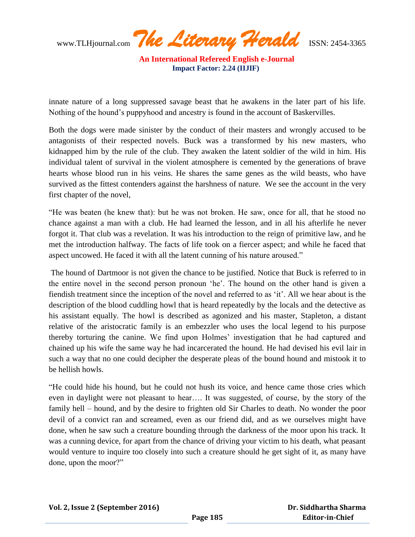www.TLHjournal.com *The Literary Herald*ISSN: 2454-3365

innate nature of a long suppressed savage beast that he awakens in the later part of his life. Nothing of the hound"s puppyhood and ancestry is found in the account of Baskervilles.

Both the dogs were made sinister by the conduct of their masters and wrongly accused to be antagonists of their respected novels. Buck was a transformed by his new masters, who kidnapped him by the rule of the club. They awaken the latent soldier of the wild in him. His individual talent of survival in the violent atmosphere is cemented by the generations of brave hearts whose blood run in his veins. He shares the same genes as the wild beasts, who have survived as the fittest contenders against the harshness of nature. We see the account in the very first chapter of the novel,

"He was beaten (he knew that): but he was not broken. He saw, once for all, that he stood no chance against a man with a club. He had learned the lesson, and in all his afterlife he never forgot it. That club was a revelation. It was his introduction to the reign of primitive law, and he met the introduction halfway. The facts of life took on a fiercer aspect; and while he faced that aspect uncowed. He faced it with all the latent cunning of his nature aroused."

The hound of Dartmoor is not given the chance to be justified. Notice that Buck is referred to in the entire novel in the second person pronoun "he". The hound on the other hand is given a fiendish treatment since the inception of the novel and referred to as "it". All we hear about is the description of the blood cuddling howl that is heard repeatedly by the locals and the detective as his assistant equally. The howl is described as agonized and his master, Stapleton, a distant relative of the aristocratic family is an embezzler who uses the local legend to his purpose thereby torturing the canine. We find upon Holmes" investigation that he had captured and chained up his wife the same way he had incarcerated the hound. He had devised his evil lair in such a way that no one could decipher the desperate pleas of the bound hound and mistook it to be hellish howls.

"He could hide his hound, but he could not hush its voice, and hence came those cries which even in daylight were not pleasant to hear…. It was suggested, of course, by the story of the family hell – hound, and by the desire to frighten old Sir Charles to death. No wonder the poor devil of a convict ran and screamed, even as our friend did, and as we ourselves might have done, when he saw such a creature bounding through the darkness of the moor upon his track. It was a cunning device, for apart from the chance of driving your victim to his death, what peasant would venture to inquire too closely into such a creature should he get sight of it, as many have done, upon the moor?"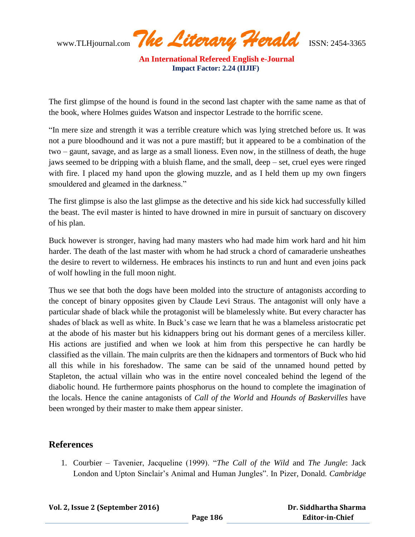www.TLHjournal.com *The Literary Herald*ISSN: 2454-3365

The first glimpse of the hound is found in the second last chapter with the same name as that of the book, where Holmes guides Watson and inspector Lestrade to the horrific scene.

"In mere size and strength it was a terrible creature which was lying stretched before us. It was not a pure bloodhound and it was not a pure mastiff; but it appeared to be a combination of the two – gaunt, savage, and as large as a small lioness. Even now, in the stillness of death, the huge jaws seemed to be dripping with a bluish flame, and the small, deep – set, cruel eyes were ringed with fire. I placed my hand upon the glowing muzzle, and as I held them up my own fingers smouldered and gleamed in the darkness."

The first glimpse is also the last glimpse as the detective and his side kick had successfully killed the beast. The evil master is hinted to have drowned in mire in pursuit of sanctuary on discovery of his plan.

Buck however is stronger, having had many masters who had made him work hard and hit him harder. The death of the last master with whom he had struck a chord of camaraderie unsheathes the desire to revert to wilderness. He embraces his instincts to run and hunt and even joins pack of wolf howling in the full moon night.

Thus we see that both the dogs have been molded into the structure of antagonists according to the concept of binary opposites given by Claude Levi Straus. The antagonist will only have a particular shade of black while the protagonist will be blamelessly white. But every character has shades of black as well as white. In Buck"s case we learn that he was a blameless aristocratic pet at the abode of his master but his kidnappers bring out his dormant genes of a merciless killer. His actions are justified and when we look at him from this perspective he can hardly be classified as the villain. The main culprits are then the kidnapers and tormentors of Buck who hid all this while in his foreshadow. The same can be said of the unnamed hound petted by Stapleton, the actual villain who was in the entire novel concealed behind the legend of the diabolic hound. He furthermore paints phosphorus on the hound to complete the imagination of the locals. Hence the canine antagonists of *Call of the World* and *Hounds of Baskervilles* have been wronged by their master to make them appear sinister.

## **References**

1. Courbier – Tavenier, Jacqueline (1999). "*The Call of the Wild* and *The Jungle*: Jack London and Upton Sinclair"s Animal and Human Jungles". In Pizer, Donald. *Cambridge*